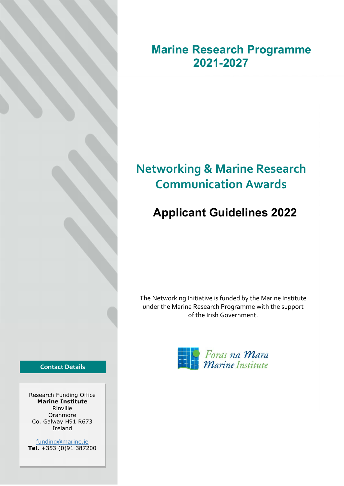Marine Research Programme 2021-2027

# Networking & Marine Research Communication Awards

# Applicant Guidelines 2022

The Networking Initiative is funded by the Marine Institute under the Marine Research Programme with the support of the Irish Government.



Contact Details

Research Funding Office Marine Institute Rinville Oranmore Co. Galway H91 R673 Ireland

funding@marine.ie Tel. +353 (0)91 387200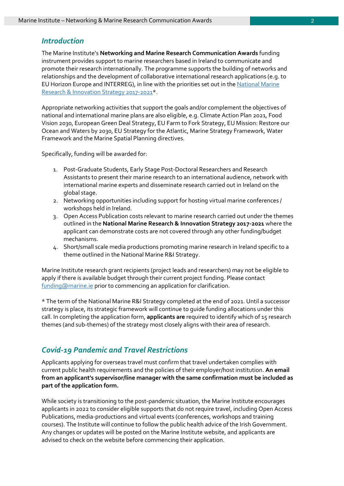## **Introduction**

The Marine Institute's Networking and Marine Research Communication Awards funding instrument provides support to marine researchers based in Ireland to communicate and promote their research internationally. The programme supports the building of networks and relationships and the development of collaborative international research applications (e.g. to EU Horizon Europe and INTERREG), in line with the priorities set out in the National Marine Research & Innovation Strategy 2017-2021\*.

Appropriate networking activities that support the goals and/or complement the objectives of national and international marine plans are also eligible, e.g. Climate Action Plan 2021, Food Vision 2030, European Green Deal Strategy, EU Farm to Fork Strategy, EU Mission: Restore our Ocean and Waters by 2030, EU Strategy for the Atlantic, Marine Strategy Framework, Water Framework and the Marine Spatial Planning directives.

Specifically, funding will be awarded for:

- 1. Post-Graduate Students, Early Stage Post-Doctoral Researchers and Research Assistants to present their marine research to an international audience, network with international marine experts and disseminate research carried out in Ireland on the global stage.
- 2. Networking opportunities including support for hosting virtual marine conferences / workshops held in Ireland.
- 3. Open Access Publication costs relevant to marine research carried out under the themes outlined in the National Marine Research & Innovation Strategy 2017-2021 where the applicant can demonstrate costs are not covered through any other funding/budget mechanisms.
- 4. Short/small scale media productions promoting marine research in Ireland specific to a theme outlined in the National Marine R&I Strategy.

Marine Institute research grant recipients (project leads and researchers) may not be eligible to apply if there is available budget through their current project funding. Please contact funding@marine.ie prior to commencing an application for clarification.

\* The term of the National Marine R&I Strategy completed at the end of 2021. Until a successor strategy is place, its strategic framework will continue to guide funding allocations under this call. In completing the application form, applicants are required to identify which of 15 research themes (and sub-themes) of the strategy most closely aligns with their area of research.

## Covid-19 Pandemic and Travel Restrictions

Applicants applying for overseas travel must confirm that travel undertaken complies with current public health requirements and the policies of their employer/host institution. An email from an applicant's supervisor/line manager with the same confirmation must be included as part of the application form.

While society is transitioning to the post-pandemic situation, the Marine Institute encourages applicants in 2022 to consider eligible supports that do not require travel, including Open Access Publications, media-productions and virtual events (conferences, workshops and training courses). The Institute will continue to follow the public health advice of the Irish Government. Any changes or updates will be posted on the Marine Institute website, and applicants are advised to check on the website before commencing their application.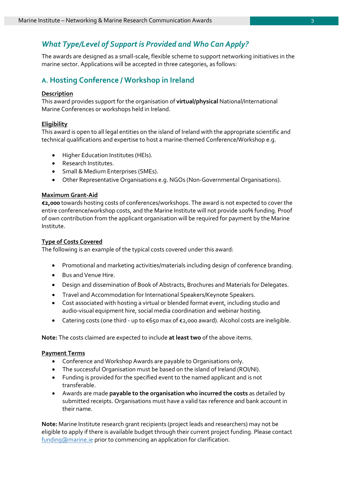## What Type/Level of Support is Provided and Who Can Apply?

The awards are designed as a small-scale, flexible scheme to support networking initiatives in the marine sector. Applications will be accepted in three categories, as follows:

## A. Hosting Conference / Workshop in Ireland

#### **Description**

This award provides support for the organisation of virtual/physical National/International Marine Conferences or workshops held in Ireland.

#### **Eligibility**

This award is open to all legal entities on the island of Ireland with the appropriate scientific and technical qualifications and expertise to host a marine-themed Conference/Workshop e.g.

- Higher Education Institutes (HEIs).
- Research Institutes.
- Small & Medium Enterprises (SMEs).
- Other Representative Organisations e.g. NGOs (Non-Governmental Organisations).

#### Maximum Grant-Aid

€2,000 towards hosting costs of conferences/workshops. The award is not expected to cover the entire conference/workshop costs, and the Marine Institute will not provide 100% funding. Proof of own contribution from the applicant organisation will be required for payment by the Marine Institute.

#### Type of Costs Covered

The following is an example of the typical costs covered under this award:

- Promotional and marketing activities/materials including design of conference branding.
- Bus and Venue Hire.
- Design and dissemination of Book of Abstracts, Brochures and Materials for Delegates.
- Travel and Accommodation for International Speakers/Keynote Speakers.
- Cost associated with hosting a virtual or blended format event, including studio and audio-visual equipment hire, social media coordination and webinar hosting.
- Catering costs (one third up to €650 max of €2,000 award). Alcohol costs are ineligible.

Note: The costs claimed are expected to include at least two of the above items.

#### Payment Terms

- Conference and Workshop Awards are payable to Organisations only.
- The successful Organisation must be based on the island of Ireland (ROI/NI).
- Funding is provided for the specified event to the named applicant and is not transferable.
- Awards are made payable to the organisation who incurred the costs as detailed by submitted receipts. Organisations must have a valid tax reference and bank account in their name.

Note: Marine Institute research grant recipients (project leads and researchers) may not be eligible to apply if there is available budget through their current project funding. Please contact funding@marine.ie prior to commencing an application for clarification.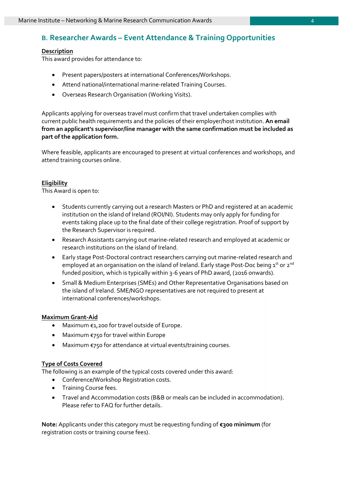## B. Researcher Awards – Event Attendance & Training Opportunities

#### **Description**

This award provides for attendance to:

- Present papers/posters at international Conferences/Workshops.
- Attend national/international marine-related Training Courses.
- Overseas Research Organisation (Working Visits).

Applicants applying for overseas travel must confirm that travel undertaken complies with current public health requirements and the policies of their employer/host institution. An email from an applicant's supervisor/line manager with the same confirmation must be included as part of the application form.

Where feasible, applicants are encouraged to present at virtual conferences and workshops, and attend training courses online.

#### **Eligibility**

This Award is open to:

- Students currently carrying out a research Masters or PhD and registered at an academic institution on the island of Ireland (ROI/NI). Students may only apply for funding for events taking place up to the final date of their college registration. Proof of support by the Research Supervisor is required.
- Research Assistants carrying out marine-related research and employed at academic or research institutions on the island of Ireland.
- Early stage Post-Doctoral contract researchers carrying out marine-related research and employed at an organisation on the island of Ireland. Early stage Post-Doc being  $1^{st}$  or  $2^{nd}$ funded position, which is typically within 3-6 years of PhD award, (2016 onwards).
- Small & Medium Enterprises (SMEs) and Other Representative Organisations based on the island of Ireland. SME/NGO representatives are not required to present at international conferences/workshops.

#### Maximum Grant-Aid

- Maximum €1,200 for travel outside of Europe.
- Maximum €750 for travel within Europe
- Maximum €750 for attendance at virtual events/training courses.

#### Type of Costs Covered

The following is an example of the typical costs covered under this award:

- Conference/Workshop Registration costs.
- **•** Training Course fees.
- Travel and Accommodation costs (B&B or meals can be included in accommodation). Please refer to FAQ for further details.

Note: Applicants under this category must be requesting funding of €300 minimum (for registration costs or training course fees).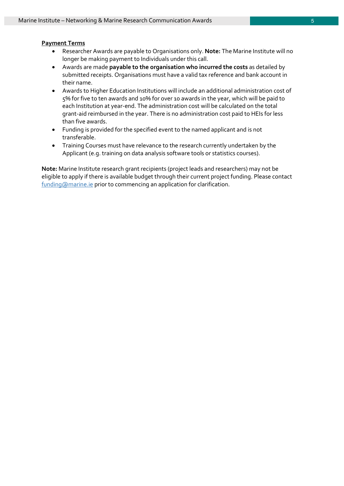#### Payment Terms

- Researcher Awards are payable to Organisations only. Note: The Marine Institute will no longer be making payment to Individuals under this call.
- Awards are made payable to the organisation who incurred the costs as detailed by submitted receipts. Organisations must have a valid tax reference and bank account in their name.
- Awards to Higher Education Institutions will include an additional administration cost of 5% for five to ten awards and 10% for over 10 awards in the year, which will be paid to each Institution at year-end. The administration cost will be calculated on the total grant-aid reimbursed in the year. There is no administration cost paid to HEIs for less than five awards.
- Funding is provided for the specified event to the named applicant and is not transferable.
- Training Courses must have relevance to the research currently undertaken by the Applicant (e.g. training on data analysis software tools or statistics courses).

Note: Marine Institute research grant recipients (project leads and researchers) may not be eligible to apply if there is available budget through their current project funding. Please contact funding@marine.ie prior to commencing an application for clarification.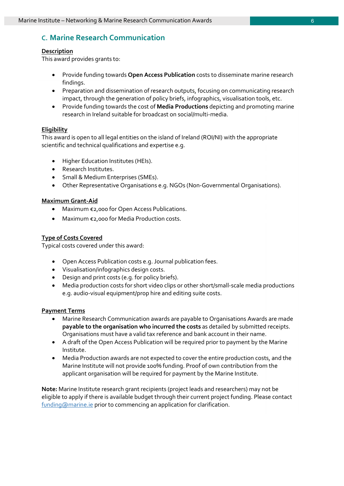## C. Marine Research Communication

#### **Description**

This award provides grants to:

- Provide funding towards Open Access Publication costs to disseminate marine research findings.
- Preparation and dissemination of research outputs, focusing on communicating research impact, through the generation of policy briefs, infographics, visualisation tools, etc.
- Provide funding towards the cost of **Media Productions** depicting and promoting marine research in Ireland suitable for broadcast on social/multi-media.

#### **Eligibility**

This award is open to all legal entities on the island of Ireland (ROI/NI) with the appropriate scientific and technical qualifications and expertise e.g.

- Higher Education Institutes (HEIs).
- Research Institutes.
- **Small & Medium Enterprises (SMEs).**
- Other Representative Organisations e.g. NGOs (Non-Governmental Organisations).

#### Maximum Grant-Aid

- Maximum €2,000 for Open Access Publications.
- Maximum €2,000 for Media Production costs.

#### Type of Costs Covered

Typical costs covered under this award:

- Open Access Publication costs e.g. Journal publication fees.
- Visualisation/infographics design costs.
- Design and print costs (e.g. for policy briefs).
- Media production costs for short video clips or other short/small-scale media productions e.g. audio-visual equipment/prop hire and editing suite costs.

#### Payment Terms

- Marine Research Communication awards are payable to Organisations Awards are made payable to the organisation who incurred the costs as detailed by submitted receipts. Organisations must have a valid tax reference and bank account in their name.
- A draft of the Open Access Publication will be required prior to payment by the Marine Institute.
- Media Production awards are not expected to cover the entire production costs, and the Marine Institute will not provide 100% funding. Proof of own contribution from the applicant organisation will be required for payment by the Marine Institute.

Note: Marine Institute research grant recipients (project leads and researchers) may not be eligible to apply if there is available budget through their current project funding. Please contact funding@marine.ie prior to commencing an application for clarification.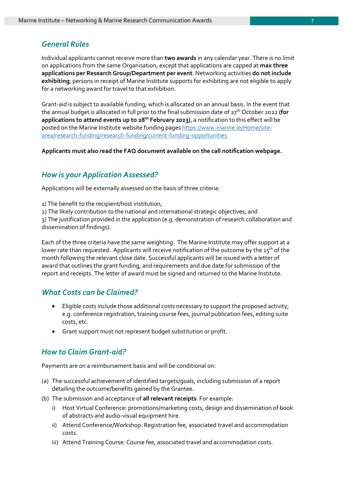## General Rules

Individual applicants cannot receive more than two awards in any calendar year. There is no limit on applications from the same Organisation, except that applications are capped at max three applications per Research Group/Department per event. Networking activities do not include exhibiting; persons in receipt of Marine Institute supports for exhibiting are not eligible to apply for a networking award for travel to that exhibition.

Grant-aid is subject to available funding, which is allocated on an annual basis. In the event that the annual budget is allocated in full prior to the final submission date of 27<sup>th</sup> October 2022 (for applications to attend events up to 28<sup>th</sup> February 2023), a notification to this effect will be posted on the Marine Institute website funding pages https://www.marine.ie/Home/sitearea/research-funding/research-funding/current-funding-opportunities.

Applicants must also read the FAQ document available on the call notification webpage.

### How is your Application Assessed?

Applications will be externally assessed on the basis of three criteria:

1) The benefit to the recipient/host institution,

2) The likely contribution to the national and international strategic objectives, and

3) The justification provided in the application (e.g. demonstration of research collaboration and dissemination of findings).

Each of the three criteria have the same weighting. The Marine Institute may offer support at a lower rate than requested. Applicants will receive notification of the outcome by the 15<sup>th</sup> of the month following the relevant close date. Successful applicants will be issued with a letter of award that outlines the grant funding, and requirements and due date for submission of the report and receipts. The letter of award must be signed and returned to the Marine Institute.

## What Costs can be Claimed?

- Eligible costs include those additional costs necessary to support the proposed activity; e.g. conference registration, training course fees, journal publication fees, editing suite costs, etc.
- Grant support must not represent budget substitution or profit.

## How to Claim Grant-aid?

Payments are on a reimbursement basis and will be conditional on:

- (a) The successful achievement of identified targets/goals, including submission of a report detailing the outcome/benefits gained by the Grantee.
- (b) The submission and acceptance of all relevant receipts. For example:
	- i) Host Virtual Conference: promotions/marketing costs, design and dissemination of book of abstracts and audio-visual equipment hire.
	- ii) Attend Conference/Workshop: Registration fee, associated travel and accommodation costs.
	- iii) Attend Training Course: Course fee, associated travel and accommodation costs.